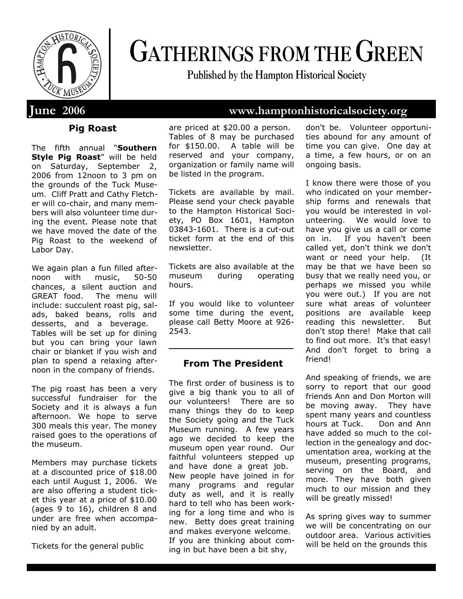

# **GATHERINGS FROM THE GREEN**

**Published by the Hampton Historical Society**

#### **Pig Roast**

The fifth annual "**Southern Style Pig Roast**" will be held on Saturday, September 2, 2006 from 12noon to 3 pm on the grounds of the Tuck Museum. Cliff Pratt and Cathy Fletcher will co-chair, and many members will also volunteer time during the event. Please note that we have moved the date of the Pig Roast to the weekend of Labor Day.

We again plan a fun filled afternoon with music, 50-50 chances, a silent auction and GREAT food. The menu will include: succulent roast pig, salads, baked beans, rolls and desserts, and a beverage. Tables will be set up for dining but you can bring your lawn chair or blanket if you wish and plan to spend a relaxing afternoon in the company of friends.

The pig roast has been a very successful fundraiser for the Society and it is always a fun afternoon. We hope to serve 300 meals this year. The money raised goes to the operations of the museum.

Members may purchase tickets at a discounted price of \$18.00 each until August 1, 2006. We are also offering a student ticket this year at a price of \$10.00 (ages 9 to 16), children 8 and under are free when accompanied by an adult.

Tickets for the general public

are priced at \$20.00 a person. Tables of 8 may be purchased for \$150.00. A table will be reserved and your company, organization or family name will be listed in the program.

Tickets are available by mail. Please send your check payable to the Hampton Historical Society, PO Box 1601, Hampton 03843-1601. There is a cut-out ticket form at the end of this newsletter.

Tickets are also available at the museum during operating hours.

If you would like to volunteer some time during the event, please call Betty Moore at 926- 2543.

#### **From The President**

The first order of business is to give a big thank you to all of our volunteers! There are so many things they do to keep the Society going and the Tuck Museum running. A few years ago we decided to keep the museum open year round. Our faithful volunteers stepped up and have done a great job. New people have joined in for many programs and regular duty as well, and it is really hard to tell who has been working for a long time and who is new. Betty does great training and makes everyone welcome. If you are thinking about coming in but have been a bit shy,

don't be. Volunteer opportunities abound for any amount of time you can give. One day at a time, a few hours, or on an ongoing basis.

I know there were those of you who indicated on your membership forms and renewals that you would be interested in volunteering. We would love to have you give us a call or come on in. If you haven't been called yet, don't think we don't want or need your help. (It may be that we have been so busy that we really need you, or perhaps we missed you while you were out.) If you are not sure what areas of volunteer positions are available keep reading this newsletter. But don't stop there! Make that call to find out more. It's that easy! And don't forget to bring a friend!

And speaking of friends, we are sorry to report that our good friends Ann and Don Morton will be moving away. They have spent many years and countless hours at Tuck. Don and Ann have added so much to the collection in the genealogy and documentation area, working at the museum, presenting programs, serving on the Board, and more. They have both given much to our mission and they will be greatly missed!

As spring gives way to summer we will be concentrating on our outdoor area. Various activities will be held on the grounds this

## **June 2006 www.hamptonhistoricalsociety.org**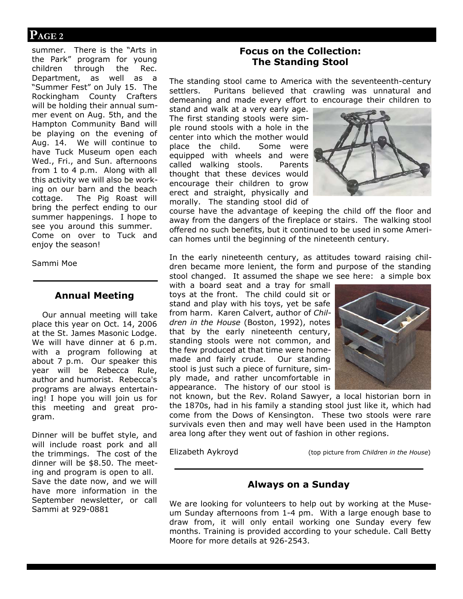### **PAGE 2**

summer. There is the "Arts in the Park" program for young children through the Rec. Department, as well as a "Summer Fest" on July 15. The Rockingham County Crafters will be holding their annual summer event on Aug. 5th, and the Hampton Community Band will be playing on the evening of Aug. 14. We will continue to have Tuck Museum open each Wed., Fri., and Sun. afternoons from 1 to 4 p.m. Along with all this activity we will also be working on our barn and the beach cottage. The Pig Roast will bring the perfect ending to our summer happenings. I hope to see you around this summer. Come on over to Tuck and enjoy the season!

Sammi Moe

#### **Annual Meeting**

Our annual meeting will take place this year on Oct. 14, 2006 at the St. James Masonic Lodge. We will have dinner at 6 p.m. with a program following at about 7 p.m. Our speaker this year will be Rebecca Rule, author and humorist. Rebecca's programs are always entertaining! I hope you will join us for this meeting and great program.

Dinner will be buffet style, and will include roast pork and all the trimmings. The cost of the dinner will be \$8.50. The meeting and program is open to all. Save the date now, and we will have more information in the September newsletter, or call Sammi at 929-0881

#### **Focus on the Collection: The Standing Stool**

The standing stool came to America with the seventeenth-century settlers. Puritans believed that crawling was unnatural and demeaning and made every effort to encourage their children to

stand and walk at a very early age. The first standing stools were simple round stools with a hole in the center into which the mother would place the child. Some were equipped with wheels and were called walking stools. Parents thought that these devices would encourage their children to grow erect and straight, physically and morally. The standing stool did of



course have the advantage of keeping the child off the floor and away from the dangers of the fireplace or stairs. The walking stool offered no such benefits, but it continued to be used in some American homes until the beginning of the nineteenth century.

In the early nineteenth century, as attitudes toward raising children became more lenient, the form and purpose of the standing stool changed. It assumed the shape we see here: a simple box

with a board seat and a tray for small toys at the front. The child could sit or stand and play with his toys, yet be safe from harm. Karen Calvert, author of *Children in the House* (Boston, 1992), notes that by the early nineteenth century, standing stools were not common, and the few produced at that time were homemade and fairly crude. Our standing stool is just such a piece of furniture, simply made, and rather uncomfortable in appearance. The history of our stool is



not known, but the Rev. Roland Sawyer, a local historian born in the 1870s, had in his family a standing stool just like it, which had come from the Dows of Kensington. These two stools were rare survivals even then and may well have been used in the Hampton area long after they went out of fashion in other regions.

Elizabeth Aykroyd (top picture from *Children in the House*)

#### **Always on a Sunday**

We are looking for volunteers to help out by working at the Museum Sunday afternoons from 1-4 pm. With a large enough base to draw from, it will only entail working one Sunday every few months. Training is provided according to your schedule. Call Betty Moore for more details at 926-2543.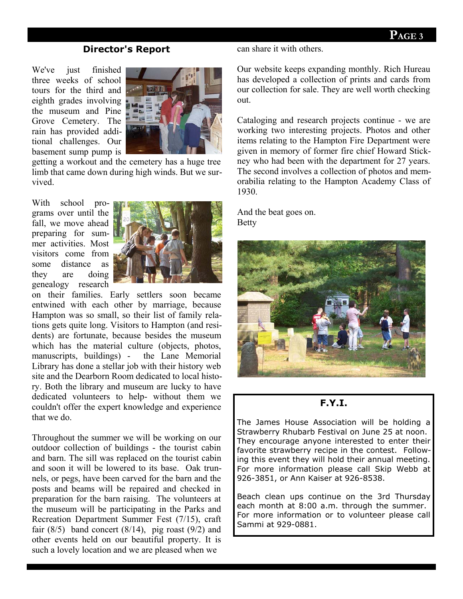#### **Director's Report**

We've just finished three weeks of school tours for the third and eighth grades involving the museum and Pine Grove Cemetery. The rain has provided additional challenges. Our basement sump pump is



getting a workout and the cemetery has a huge tree limb that came down during high winds. But we survived.

With school programs over until the fall, we move ahead preparing for summer activities. Most visitors come from some distance as they are doing genealogy research



on their families. Early settlers soon became entwined with each other by marriage, because Hampton was so small, so their list of family relations gets quite long. Visitors to Hampton (and residents) are fortunate, because besides the museum which has the material culture (objects, photos, manuscripts, buildings) - the Lane Memorial Library has done a stellar job with their history web site and the Dearborn Room dedicated to local history. Both the library and museum are lucky to have dedicated volunteers to help- without them we couldn't offer the expert knowledge and experience that we do.

Throughout the summer we will be working on our outdoor collection of buildings - the tourist cabin and barn. The sill was replaced on the tourist cabin and soon it will be lowered to its base. Oak trunnels, or pegs, have been carved for the barn and the posts and beams will be repaired and checked in preparation for the barn raising. The volunteers at the museum will be participating in the Parks and Recreation Department Summer Fest (7/15), craft fair  $(8/5)$  band concert  $(8/14)$ , pig roast  $(9/2)$  and other events held on our beautiful property. It is such a lovely location and we are pleased when we

#### can share it with others.

Our website keeps expanding monthly. Rich Hureau has developed a collection of prints and cards from our collection for sale. They are well worth checking out.

Cataloging and research projects continue - we are working two interesting projects. Photos and other items relating to the Hampton Fire Department were given in memory of former fire chief Howard Stickney who had been with the department for 27 years. The second involves a collection of photos and memorabilia relating to the Hampton Academy Class of 1930.

And the beat goes on. Betty



#### **F.Y.I.**

The James House Association will be holding a Strawberry Rhubarb Festival on June 25 at noon. They encourage anyone interested to enter their favorite strawberry recipe in the contest. Following this event they will hold their annual meeting. For more information please call Skip Webb at 926-3851, or Ann Kaiser at 926-8538.

Beach clean ups continue on the 3rd Thursday each month at 8:00 a.m. through the summer. For more information or to volunteer please call Sammi at 929-0881.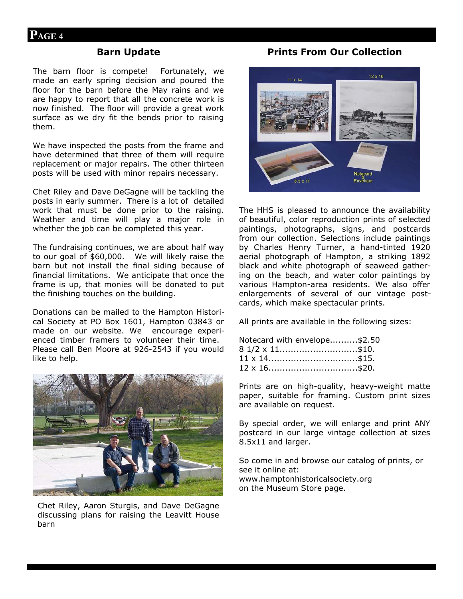#### **Barn Update**

The barn floor is compete! Fortunately, we made an early spring decision and poured the floor for the barn before the May rains and we are happy to report that all the concrete work is now finished. The floor will provide a great work surface as we dry fit the bends prior to raising them.

We have inspected the posts from the frame and have determined that three of them will require replacement or major repairs. The other thirteen posts will be used with minor repairs necessary.

Chet Riley and Dave DeGagne will be tackling the posts in early summer. There is a lot of detailed work that must be done prior to the raising. Weather and time will play a major role in whether the job can be completed this year.

The fundraising continues, we are about half way to our goal of \$60,000. We will likely raise the barn but not install the final siding because of financial limitations. We anticipate that once the frame is up, that monies will be donated to put the finishing touches on the building.

Donations can be mailed to the Hampton Historical Society at PO Box 1601, Hampton 03843 or made on our website. We encourage experienced timber framers to volunteer their time. Please call Ben Moore at 926-2543 if you would like to help.



Chet Riley, Aaron Sturgis, and Dave DeGagne discussing plans for raising the Leavitt House barn

#### **Prints From Our Collection**



The HHS is pleased to announce the availability of beautiful, color reproduction prints of selected paintings, photographs, signs, and postcards from our collection. Selections include paintings by Charles Henry Turner, a hand-tinted 1920 aerial photograph of Hampton, a striking 1892 black and white photograph of seaweed gathering on the beach, and water color paintings by various Hampton-area residents. We also offer enlargements of several of our vintage postcards, which make spectacular prints.

All prints are available in the following sizes:

| Notecard with envelope\$2.50 |  |
|------------------------------|--|
| $81/2 \times 11$ \$10.       |  |
| $11 \times 14$ \$15.         |  |
| $12 \times 16$ \$20.         |  |

Prints are on high-quality, heavy-weight matte paper, suitable for framing. Custom print sizes are available on request.

By special order, we will enlarge and print ANY postcard in our large vintage collection at sizes 8.5x11 and larger.

So come in and browse our catalog of prints, or see it online at: www.hamptonhistoricalsociety.org on the Museum Store page.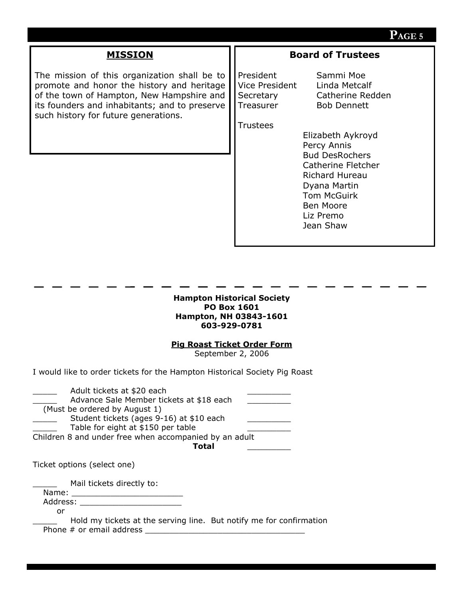#### **PAGE 5**

#### **MISSION**

The mission of this organization shall be to promote and honor the history and heritage of the town of Hampton, New Hampshire and its founders and inhabitants; and to preserve such history for future generations.

#### **Board of Trustees**

President Sammi Moe Vice President Linda Metcalf Treasurer Bob Dennett

Secretary Catherine Redden

**Trustees** 

Elizabeth Aykroyd Percy Annis Bud DesRochers Catherine Fletcher Richard Hureau Dyana Martin Tom McGuirk Ben Moore Liz Premo Jean Shaw

#### **Hampton Historical Society PO Box 1601 Hampton, NH 03843-1601 603-929-0781**

#### **Pig Roast Ticket Order Form**

September 2, 2006

I would like to order tickets for the Hampton Historical Society Pig Roast

| Adult tickets at \$20 each<br>Advance Sale Member tickets at \$18 each<br>(Must be ordered by August 1)<br>Student tickets (ages 9-16) at \$10 each<br>Table for eight at \$150 per table<br>Children 8 and under free when accompanied by an adult<br>Total |  |
|--------------------------------------------------------------------------------------------------------------------------------------------------------------------------------------------------------------------------------------------------------------|--|
| Ticket options (select one)                                                                                                                                                                                                                                  |  |
| Mail tickets directly to:<br>Name:<br>Address:<br>or<br>Hold my tickets at the serving line. But notify me for confirmation<br>Phone # or email address                                                                                                      |  |